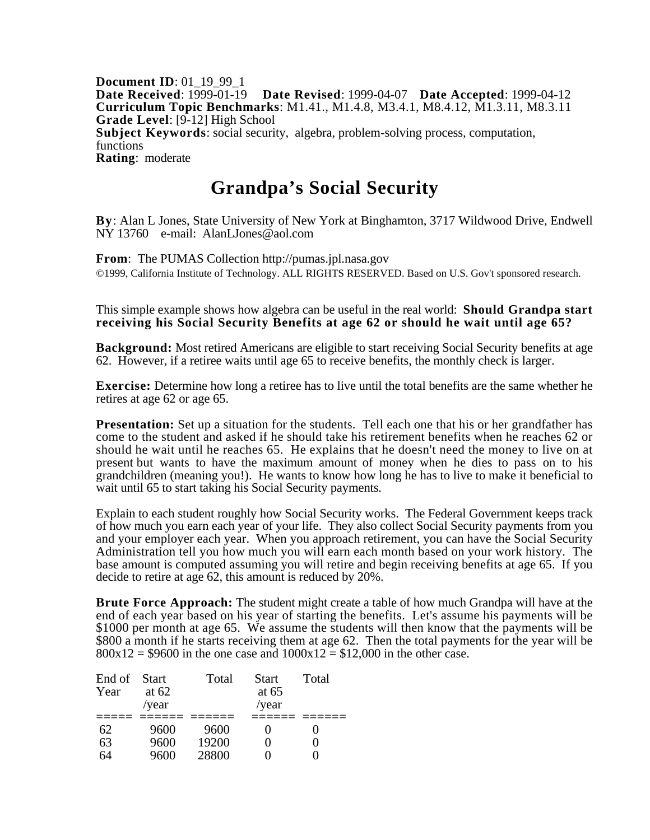**Document ID**: 01\_19\_99\_1 **Date Received**: 1999-01-19 **Date Revised**: 1999-04-07 **Date Accepted**: 1999-04-12 **Curriculum Topic Benchmarks**: M1.41., M1.4.8, M3.4.1, M8.4.12, M1.3.11, M8.3.11 **Grade Level**: [9-12] High School **Subject Keywords**: social security, algebra, problem-solving process, computation, functions **Rating**: moderate

## **Grandpa's Social Security**

**By**: Alan L Jones, State University of New York at Binghamton, 3717 Wildwood Drive, Endwell NY 13760 e-mail: AlanLJones@aol.com

**From**: The PUMAS Collection http://pumas.jpl.nasa.gov ©1999, California Institute of Technology. ALL RIGHTS RESERVED. Based on U.S. Gov't sponsored research.

This simple example shows how algebra can be useful in the real world: **Should Grandpa start receiving his Social Security Benefits at age 62 or should he wait until age 65?**

**Background:** Most retired Americans are eligible to start receiving Social Security benefits at age 62. However, if a retiree waits until age 65 to receive benefits, the monthly check is larger.

**Exercise:** Determine how long a retiree has to live until the total benefits are the same whether he retires at age 62 or age 65.

**Presentation:** Set up a situation for the students. Tell each one that his or her grandfather has come to the student and asked if he should take his retirement benefits when he reaches 62 or should he wait until he reaches 65. He explains that he doesn't need the money to live on at present but wants to have the maximum amount of money when he dies to pass on to his grandchildren (meaning you!). He wants to know how long he has to live to make it beneficial to wait until 65 to start taking his Social Security payments.

Explain to each student roughly how Social Security works. The Federal Government keeps track of how much you earn each year of your life. They also collect Social Security payments from you and your employer each year. When you approach retirement, you can have the Social Security Administration tell you how much you will earn each month based on your work history. The base amount is computed assuming you will retire and begin receiving benefits at age 65. If you decide to retire at age 62, this amount is reduced by 20%.

**Brute Force Approach:** The student might create a table of how much Grandpa will have at the end of each year based on his year of starting the benefits. Let's assume his payments will be \$1000 per month at age 65. We assume the students will then know that the payments will be \$800 a month if he starts receiving them at age 62. Then the total payments for the year will be  $800x12 = $9600$  in the one case and  $1000x12 = $12,000$  in the other case.

| End of Start |         | Total | <b>Start</b> | Total |
|--------------|---------|-------|--------------|-------|
| Year         | at $62$ |       | at $65$      |       |
|              | /year   |       | /year        |       |
|              |         |       |              |       |
| 62           | 9600    | 9600  |              |       |
| 63           | 9600    | 19200 |              |       |
| 64           | 9600    | 28800 |              |       |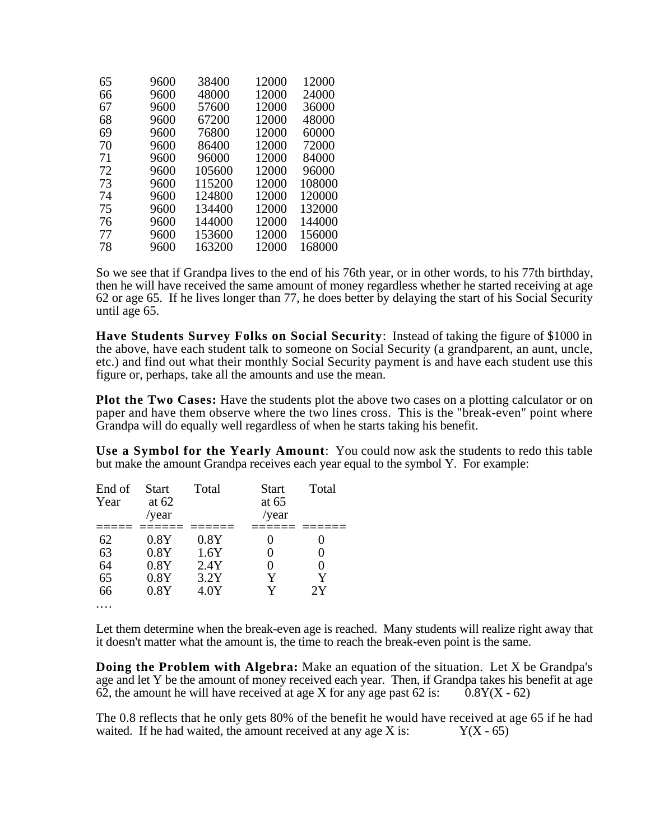| 65 | 9600 | 38400  | 12000 | 12000  |
|----|------|--------|-------|--------|
| 66 | 9600 | 48000  | 12000 | 24000  |
| 67 | 9600 | 57600  | 12000 | 36000  |
| 68 | 9600 | 67200  | 12000 | 48000  |
| 69 | 9600 | 76800  | 12000 | 60000  |
| 70 | 9600 | 86400  | 12000 | 72000  |
| 71 | 9600 | 96000  | 12000 | 84000  |
| 72 | 9600 | 105600 | 12000 | 96000  |
| 73 | 9600 | 115200 | 12000 | 108000 |
| 74 | 9600 | 124800 | 12000 | 120000 |
| 75 | 9600 | 134400 | 12000 | 132000 |
| 76 | 9600 | 144000 | 12000 | 144000 |
| 77 | 9600 | 153600 | 12000 | 156000 |
| 78 | 9600 | 163200 | 12000 | 168000 |
|    |      |        |       |        |

So we see that if Grandpa lives to the end of his 76th year, or in other words, to his 77th birthday, then he will have received the same amount of money regardless whether he started receiving at age 62 or age 65. If he lives longer than 77, he does better by delaying the start of his Social Security until age 65.

**Have Students Survey Folks on Social Security**: Instead of taking the figure of \$1000 in the above, have each student talk to someone on Social Security (a grandparent, an aunt, uncle, etc.) and find out what their monthly Social Security payment is and have each student use this figure or, perhaps, take all the amounts and use the mean.

**Plot the Two Cases:** Have the students plot the above two cases on a plotting calculator or on paper and have them observe where the two lines cross. This is the "break-even" point where Grandpa will do equally well regardless of when he starts taking his benefit.

**Use a Symbol for the Yearly Amount**: You could now ask the students to redo this table but make the amount Grandpa receives each year equal to the symbol Y. For example:

| End of<br>Year | <b>Start</b><br>at $62$<br>/year | Total | <b>Start</b><br>at $65$<br>/year | Total |
|----------------|----------------------------------|-------|----------------------------------|-------|
| 62             | 0.8Y                             | 0.8Y  |                                  |       |
| 63             | 0.8Y                             | 1.6Y  |                                  |       |
| 64             | 0.8Y                             | 2.4Y  | 0                                |       |
| 65             | 0.8Y                             | 3.2Y  | Y                                | v     |
| 66             | 0.8Y                             | 4.0Y  | Y                                | 2Y    |
|                |                                  |       |                                  |       |

Let them determine when the break-even age is reached. Many students will realize right away that it doesn't matter what the amount is, the time to reach the break-even point is the same.

**Doing the Problem with Algebra:** Make an equation of the situation. Let X be Grandpa's age and let Y be the amount of money received each year. Then, if Grandpa takes his benefit at age 62, the amount he will have received at age X for any age past 62 is:  $\overline{0.8Y(X - 62)}$ 

The 0.8 reflects that he only gets 80% of the benefit he would have received at age 65 if he had waited. If he had waited, the amount received at any age X is:  $Y(X - 65)$